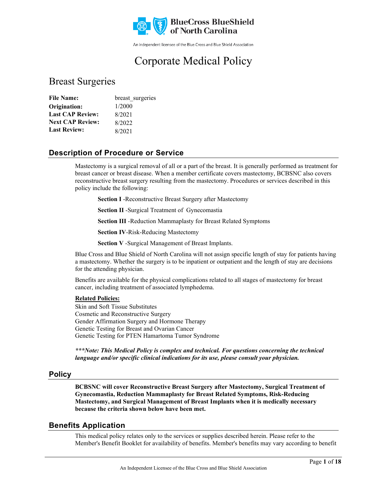

An independent licensee of the Blue Cross and Blue Shield Association

# Corporate Medical Policy

### Breast Surgeries

| <b>File Name:</b>       | breast surgeries |
|-------------------------|------------------|
| Origination:            | 1/2000           |
| <b>Last CAP Review:</b> | 8/2021           |
| <b>Next CAP Review:</b> | 8/2022           |
| <b>Last Review:</b>     | 8/2021           |

### **Description of Procedure or Service**

Mastectomy is a surgical removal of all or a part of the breast. It is generally performed as treatment for breast cancer or breast disease. When a member certificate covers mastectomy, BCBSNC also covers reconstructive breast surgery resulting from the mastectomy. Procedures or services described in this policy include the following:

**Section I** -Reconstructive Breast Surgery after Mastectomy

**Section II** -Surgical Treatment of Gynecomastia

**Section III** -Reduction Mammaplasty for Breast Related Symptoms

**Section IV**-Risk-Reducing Mastectomy

**Section V** -Surgical Management of Breast Implants.

Blue Cross and Blue Shield of North Carolina will not assign specific length of stay for patients having a mastectomy. Whether the surgery is to be inpatient or outpatient and the length of stay are decisions for the attending physician.

Benefits are available for the physical complications related to all stages of mastectomy for breast cancer, including treatment of associated lymphedema.

#### **Related Policies:**

Skin and Soft Tissue Substitutes Cosmetic and Reconstructive Surgery Gender Affirmation Surgery and Hormone Therapy Genetic Testing for Breast and Ovarian Cancer Genetic Testing for PTEN Hamartoma Tumor Syndrome

*\*\*\*Note: This Medical Policy is complex and technical. For questions concerning the technical language and/or specific clinical indications for its use, please consult your physician.*

#### **Policy**

**BCBSNC will cover Reconstructive Breast Surgery after Mastectomy, Surgical Treatment of Gynecomastia, Reduction Mammaplasty for Breast Related Symptoms, Risk-Reducing Mastectomy, and Surgical Management of Breast Implants when it is medically necessary because the criteria shown below have been met.**

### **Benefits Application**

This medical policy relates only to the services or supplies described herein. Please refer to the Member's Benefit Booklet for availability of benefits. Member's benefits may vary according to benefit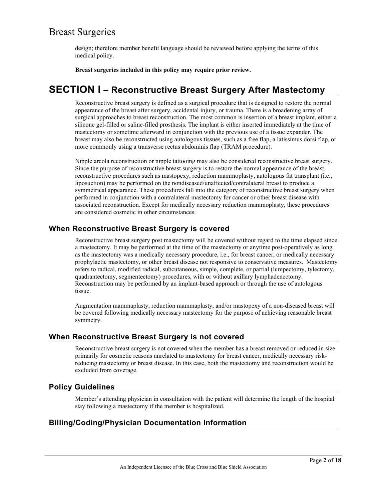design; therefore member benefit language should be reviewed before applying the terms of this medical policy.

**Breast surgeries included in this policy may require prior review.**

## **SECTION I – Reconstructive Breast Surgery After Mastectomy**

Reconstructive breast surgery is defined as a surgical procedure that is designed to restore the normal appearance of the breast after surgery, accidental injury, or trauma. There is a broadening array of surgical approaches to breast reconstruction. The most common is insertion of a breast implant, either a silicone gel-filled or saline-filled prosthesis. The implant is either inserted immediately at the time of mastectomy or sometime afterward in conjunction with the previous use of a tissue expander. The breast may also be reconstructed using autologous tissues, such as a free flap, a latissimus dorsi flap, or more commonly using a transverse rectus abdominis flap (TRAM procedure).

Nipple areola reconstruction or nipple tattooing may also be considered reconstructive breast surgery. Since the purpose of reconstructive breast surgery is to restore the normal appearance of the breast, reconstructive procedures such as mastopexy, reduction mammoplasty, autologous fat transplant (i.e., liposuction) may be performed on the nondiseased/unaffected/contralateral breast to produce a symmetrical appearance. These procedures fall into the category of reconstructive breast surgery when performed in conjunction with a contralateral mastectomy for cancer or other breast disease with associated reconstruction. Except for medically necessary reduction mammoplasty, these procedures are considered cosmetic in other circumstances.

### **When Reconstructive Breast Surgery is covered**

Reconstructive breast surgery post mastectomy will be covered without regard to the time elapsed since a mastectomy. It may be performed at the time of the mastectomy or anytime post-operatively as long as the mastectomy was a medically necessary procedure, i.e., for breast cancer, or medically necessary prophylactic mastectomy, or other breast disease not responsive to conservative measures. Mastectomy refers to radical, modified radical, subcutaneous, simple, complete, or partial (lumpectomy, tylectomy, quadrantectomy, segmentectomy) procedures, with or without axillary lymphadenectomy. Reconstruction may be performed by an implant-based approach or through the use of autologous tissue.

Augmentation mammaplasty, reduction mammaplasty, and/or mastopexy of a non-diseased breast will be covered following medically necessary mastectomy for the purpose of achieving reasonable breast symmetry.

### **When Reconstructive Breast Surgery is not covered**

Reconstructive breast surgery is not covered when the member has a breast removed or reduced in size primarily for cosmetic reasons unrelated to mastectomy for breast cancer, medically necessary riskreducing mastectomy or breast disease. In this case, both the mastectomy and reconstruction would be excluded from coverage.

### **Policy Guidelines**

Member's attending physician in consultation with the patient will determine the length of the hospital stay following a mastectomy if the member is hospitalized.

### **Billing/Coding/Physician Documentation Information**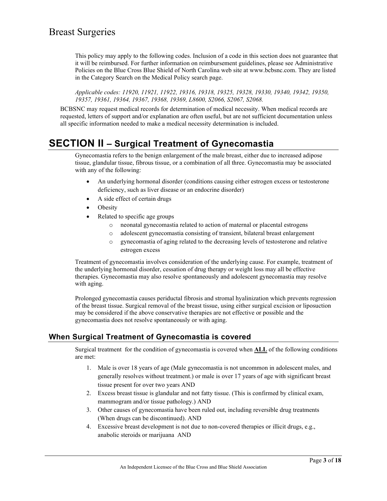This policy may apply to the following codes. Inclusion of a code in this section does not guarantee that it will be reimbursed. For further information on reimbursement guidelines, please see Administrative Policies on the Blue Cross Blue Shield of North Carolina web site at www.bcbsnc.com. They are listed in the Category Search on the Medical Policy search page.

*Applicable codes: 11920, 11921, 11922, 19316, 19318, 19325, 19328, 19330, 19340, 19342, 19350, 19357, 19361, 19364, 19367, 19368, 19369, L8600, S2066, S2067, S2068.*

BCBSNC may request medical records for determination of medical necessity. When medical records are requested, letters of support and/or explanation are often useful, but are not sufficient documentation unless all specific information needed to make a medical necessity determination is included.

## **SECTION II – Surgical Treatment of Gynecomastia**

Gynecomastia refers to the benign enlargement of the male breast, either due to increased adipose tissue, glandular tissue, fibrous tissue, or a combination of all three. Gynecomastia may be associated with any of the following:

- An underlying hormonal disorder (conditions causing either estrogen excess or testosterone deficiency, such as liver disease or an endocrine disorder)
- A side effect of certain drugs
- **Obesity**
- Related to specific age groups
	- o neonatal gynecomastia related to action of maternal or placental estrogens
	- o adolescent gynecomastia consisting of transient, bilateral breast enlargement
	- o gynecomastia of aging related to the decreasing levels of testosterone and relative estrogen excess

Treatment of gynecomastia involves consideration of the underlying cause. For example, treatment of the underlying hormonal disorder, cessation of drug therapy or weight loss may all be effective therapies. Gynecomastia may also resolve spontaneously and adolescent gynecomastia may resolve with aging.

Prolonged gynecomastia causes periductal fibrosis and stromal hyalinization which prevents regression of the breast tissue. Surgical removal of the breast tissue, using either surgical excision or liposuction may be considered if the above conservative therapies are not effective or possible and the gynecomastia does not resolve spontaneously or with aging.

### **When Surgical Treatment of Gynecomastia is covered**

Surgical treatment for the condition of gynecomastia is covered when **ALL** of the following conditions are met:

- 1. Male is over 18 years of age (Male gynecomastia is not uncommon in adolescent males, and generally resolves without treatment.) or male is over 17 years of age with significant breast tissue present for over two years AND
- 2. Excess breast tissue is glandular and not fatty tissue. (This is confirmed by clinical exam, mammogram and/or tissue pathology.) AND
- 3. Other causes of gynecomastia have been ruled out, including reversible drug treatments (When drugs can be discontinued). AND
- 4. Excessive breast development is not due to non-covered therapies or illicit drugs, e.g., anabolic steroids or marijuana AND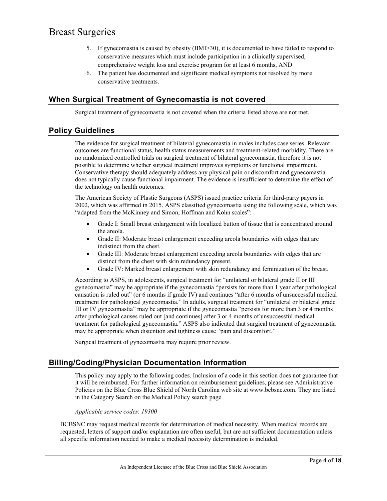- 5. If gynecomastia is caused by obesity (BMI>30), it is documented to have failed to respond to conservative measures which must include participation in a clinically supervised, comprehensive weight loss and exercise program for at least 6 months, AND
- 6. The patient has documented and significant medical symptoms not resolved by more conservative treatments.

### **When Surgical Treatment of Gynecomastia is not covered**

Surgical treatment of gynecomastia is not covered when the criteria listed above are not met.

### **Policy Guidelines**

The evidence for surgical treatment of bilateral gynecomastia in males includes case series. Relevant outcomes are functional status, health status measurements and treatment-related morbidity. There are no randomized controlled trials on surgical treatment of bilateral gynecomastia, therefore it is not possible to determine whether surgical treatment improves symptoms or functional impairment. Conservative therapy should adequately address any physical pain or discomfort and gynecomastia does not typically cause functional impairment. The evidence is insufficient to determine the effect of the technology on health outcomes.

The American Society of Plastic Surgeons (ASPS) issued practice criteria for third-party payers in 2002, which was affirmed in 2015. ASPS classified gynecomastia using the following scale, which was "adapted from the McKinney and Simon, Hoffman and Kohn scales":

- Grade I: Small breast enlargement with localized button of tissue that is concentrated around the areola.
- Grade II: Moderate breast enlargement exceeding areola boundaries with edges that are indistinct from the chest.
- Grade III: Moderate breast enlargement exceeding areola boundaries with edges that are distinct from the chest with skin redundancy present.
- Grade IV: Marked breast enlargement with skin redundancy and feminization of the breast.

According to ASPS, in adolescents, surgical treatment for "unilateral or bilateral grade II or III gynecomastia" may be appropriate if the gynecomastia "persists for more than 1 year after pathological causation is ruled out" (or 6 months if grade IV) and continues "after 6 months of unsuccessful medical treatment for pathological gynecomastia." In adults, surgical treatment for "unilateral or bilateral grade III or IV gynecomastia" may be appropriate if the gynecomastia "persists for more than 3 or 4 months after pathological causes ruled out [and continues] after 3 or 4 months of unsuccessful medical treatment for pathological gynecomastia." ASPS also indicated that surgical treatment of gynecomastia may be appropriate when distention and tightness cause "pain and discomfort."

Surgical treatment of gynecomastia may require prior review.

### **Billing/Coding/Physician Documentation Information**

This policy may apply to the following codes. Inclusion of a code in this section does not guarantee that it will be reimbursed. For further information on reimbursement guidelines, please see Administrative Policies on the Blue Cross Blue Shield of North Carolina web site at www.bcbsnc.com. They are listed in the Category Search on the Medical Policy search page.

#### *Applicable service codes*: *19300*

BCBSNC may request medical records for determination of medical necessity. When medical records are requested, letters of support and/or explanation are often useful, but are not sufficient documentation unless all specific information needed to make a medical necessity determination is included.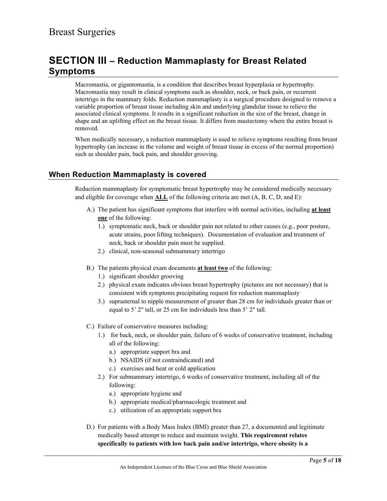## **SECTION III – Reduction Mammaplasty for Breast Related Symptoms**

Macromastia, or gigantomastia, is a condition that describes breast hyperplasia or hypertrophy. Macromastia may result in clinical symptoms such as shoulder, neck, or back pain, or recurrent intertrigo in the mammary folds. Reduction mammaplasty is a surgical procedure designed to remove a variable proportion of breast tissue including skin and underlying glandular tissue to relieve the associated clinical symptoms. It results in a significant reduction in the size of the breast, change in shape and an uplifting effect on the breast tissue. It differs from mastectomy where the entire breast is removed.

When medically necessary, a reduction mammaplasty is used to relieve symptoms resulting from breast hypertrophy (an increase in the volume and weight of breast tissue in excess of the normal proportion) such as shoulder pain, back pain, and shoulder grooving.

### **When Reduction Mammaplasty is covered**

Reduction mammaplasty for symptomatic breast hypertrophy may be considered medically necessary and eligible for coverage when **ALL** of the following criteria are met (A, B, C, D, and E):

- A.) The patient has significant symptoms that interfere with normal activities, including **at least one** of the following:
	- 1.) symptomatic neck, back or shoulder pain not related to other causes (e.g., poor posture, acute strains, poor lifting techniques). Documentation of evaluation and treatment of neck, back or shoulder pain must be supplied.
	- 2.) clinical, non-seasonal submammary intertrigo
- B.) The patients physical exam documents **at least two** of the following:
	- 1.) significant shoulder grooving
	- 2.) physical exam indicates obvious breast hypertrophy (pictures are not necessary) that is consistent with symptoms precipitating request for reduction mammaplasty
	- 3.) suprasternal to nipple measurement of greater than 28 cm for individuals greater than or equal to 5' 2" tall, or 25 cm for individuals less than 5' 2" tall.
- C.) Failure of conservative measures including:
	- 1.) for back, neck, or shoulder pain, failure of 6 weeks of conservative treatment, including all of the following:
		- a.) appropriate support bra and
		- b.) NSAIDS (if not contraindicated) and
		- c.) exercises and heat or cold application
	- 2.) For submammary intertrigo, 6 weeks of conservative treatment, including all of the following:
		- a.) appropriate hygiene and
		- b.) appropriate medical/pharmacologic treatment and
		- c.) utilization of an appropriate support bra
- D.) For patients with a Body Mass Index (BMI) greater than 27, a documented and legitimate medically based attempt to reduce and maintain weight. **This requirement relates specifically to patients with low back pain and/or intertrigo, where obesity is a**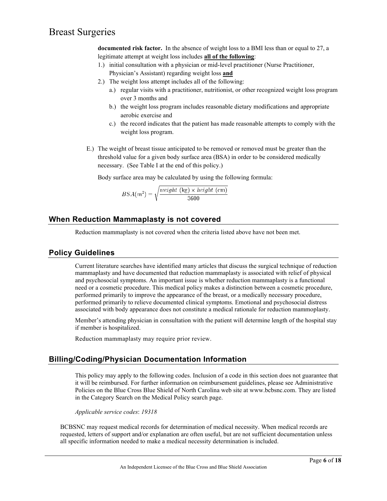**documented risk factor.** In the absence of weight loss to a BMI less than or equal to 27, a legitimate attempt at weight loss includes **all of the following**:

- 1.) initial consultation with a physician or mid-level practitioner (Nurse Practitioner, Physician's Assistant) regarding weight loss **and**
- 2.) The weight loss attempt includes all of the following:
	- a.) regular visits with a practitioner, nutritionist, or other recognized weight loss program over 3 months and
	- b.) the weight loss program includes reasonable dietary modifications and appropriate aerobic exercise and
	- c.) the record indicates that the patient has made reasonable attempts to comply with the weight loss program.
- E.) The weight of breast tissue anticipated to be removed or removed must be greater than the threshold value for a given body surface area (BSA) in order to be considered medically necessary. (See Table I at the end of this policy.)

Body surface area may be calculated by using the following formula:

$$
BSA(m^2) = \sqrt{\frac{weight \text{ (kg)} \times height \text{ (cm)}}{3600}}
$$

### **When Reduction Mammaplasty is not covered**

Reduction mammaplasty is not covered when the criteria listed above have not been met.

### **Policy Guidelines**

Current literature searches have identified many articles that discuss the surgical technique of reduction mammaplasty and have documented that reduction mammaplasty is associated with relief of physical and psychosocial symptoms. An important issue is whether reduction mammaplasty is a functional need or a cosmetic procedure. This medical policy makes a distinction between a cosmetic procedure, performed primarily to improve the appearance of the breast, or a medically necessary procedure, performed primarily to relieve documented clinical symptoms. Emotional and psychosocial distress associated with body appearance does not constitute a medical rationale for reduction mammoplasty.

Member's attending physician in consultation with the patient will determine length of the hospital stay if member is hospitalized.

Reduction mammaplasty may require prior review.

### **Billing/Coding/Physician Documentation Information**

This policy may apply to the following codes. Inclusion of a code in this section does not guarantee that it will be reimbursed. For further information on reimbursement guidelines, please see Administrative Policies on the Blue Cross Blue Shield of North Carolina web site at www.bcbsnc.com. They are listed in the Category Search on the Medical Policy search page.

*Applicable service codes*: *19318*

BCBSNC may request medical records for determination of medical necessity. When medical records are requested, letters of support and/or explanation are often useful, but are not sufficient documentation unless all specific information needed to make a medical necessity determination is included.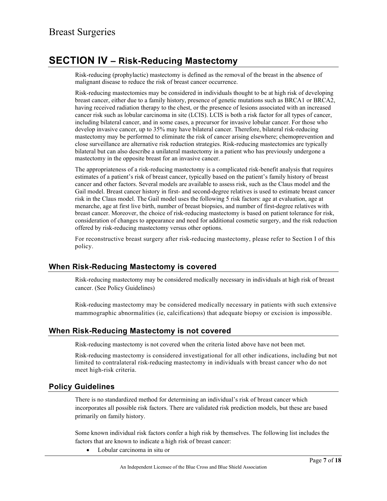## **SECTION IV – Risk-Reducing Mastectomy**

Risk-reducing (prophylactic) mastectomy is defined as the removal of the breast in the absence of malignant disease to reduce the risk of breast cancer occurrence.

Risk-reducing mastectomies may be considered in individuals thought to be at high risk of developing breast cancer, either due to a family history, presence of genetic mutations such as BRCA1 or BRCA2, having received radiation therapy to the chest, or the presence of lesions associated with an increased cancer risk such as lobular carcinoma in site (LCIS). LCIS is both a risk factor for all types of cancer, including bilateral cancer, and in some cases, a precursor for invasive lobular cancer. For those who develop invasive cancer, up to 35% may have bilateral cancer. Therefore, bilateral risk-reducing mastectomy may be performed to eliminate the risk of cancer arising elsewhere; chemoprevention and close surveillance are alternative risk reduction strategies. Risk-reducing mastectomies are typically bilateral but can also describe a unilateral mastectomy in a patient who has previously undergone a mastectomy in the opposite breast for an invasive cancer.

The appropriateness of a risk-reducing mastectomy is a complicated risk-benefit analysis that requires estimates of a patient's risk of breast cancer, typically based on the patient's family history of breast cancer and other factors. Several models are available to assess risk, such as the Claus model and the Gail model. Breast cancer history in first- and second-degree relatives is used to estimate breast cancer risk in the Claus model. The Gail model uses the following 5 risk factors: age at evaluation, age at menarche, age at first live birth, number of breast biopsies, and number of first-degree relatives with breast cancer. Moreover, the choice of risk-reducing mastectomy is based on patient tolerance for risk, consideration of changes to appearance and need for additional cosmetic surgery, and the risk reduction offered by risk-reducing mastectomy versus other options.

For reconstructive breast surgery after risk-reducing mastectomy, please refer to Section I of this policy.

### **When Risk-Reducing Mastectomy is covered**

Risk-reducing mastectomy may be considered medically necessary in individuals at high risk of breast cancer. (See Policy Guidelines)

Risk-reducing mastectomy may be considered medically necessary in patients with such extensive mammographic abnormalities (ie, calcifications) that adequate biopsy or excision is impossible.

### **When Risk-Reducing Mastectomy is not covered**

Risk-reducing mastectomy is not covered when the criteria listed above have not been met.

Risk-reducing mastectomy is considered investigational for all other indications, including but not limited to contralateral risk-reducing mastectomy in individuals with breast cancer who do not meet high-risk criteria.

### **Policy Guidelines**

There is no standardized method for determining an individual's risk of breast cancer which incorporates all possible risk factors. There are validated risk prediction models, but these are based primarily on family history.

Some known individual risk factors confer a high risk by themselves. The following list includes the factors that are known to indicate a high risk of breast cancer:

• Lobular carcinoma in situ or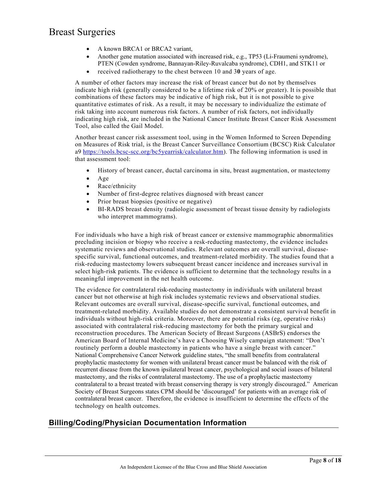- A known BRCA1 or BRCA2 variant,
- Another gene mutation associated with increased risk, e.g., TP53 (Li-Fraumeni syndrome), PTEN (Cowden syndrome, Bannayan-Riley-Ruvalcaba syndrome), CDH1, and STK11 or
- received radiotherapy to the chest between 10 and 3**0** years of age.

A number of other factors may increase the risk of breast cancer but do not by themselves indicate high risk (generally considered to be a lifetime risk of 20% or greater). It is possible that combinations of these factors may be indicative of high risk, but it is not possible to give quantitative estimates of risk. As a result, it may be necessary to individualize the estimate of risk taking into account numerous risk factors. A number of risk factors, not individually indicating high risk, are included in the National Cancer Institute Breast Cancer Risk Assessment Tool, also called the Gail Model.

Another breast cancer risk assessment tool, using in the Women Informed to Screen Depending on Measures of Risk trial, is the Breast Cancer Surveillance Consortium (BCSC) Risk Calculator a9 [https://tools.bcsc-scc.org/bc5yearrisk/calculator.htm\)](https://tools.bcsc-scc.org/bc5yearrisk/calculator.htm). The following information is used in that assessment tool:

- History of breast cancer, ductal carcinoma in situ, breast augmentation, or mastectomy
- Age
- Race/ethnicity
- Number of first-degree relatives diagnosed with breast cancer
- Prior breast biopsies (positive or negative)
- BI-RADS breast density (radiologic assessment of breast tissue density by radiologists who interpret mammograms).

For individuals who have a high risk of breast cancer or extensive mammographic abnormalities precluding incision or biopsy who receive a resk-reducting mastectomy, the evidence includes systematic reviews and observational studies. Relevant outcomes are overall survival, diseasespecific survival, functional outcomes, and treatment-related morbidity. The studies found that a risk-reducing mastectomy lowers subsequent breast cancer incidence and increases survival in select high-risk patients. The evidence is sufficient to determine that the technology results in a meaningful improvement in the net health outcome.

The evidence for contralateral risk-reducing mastectomy in individuals with unilateral breast cancer but not otherwise at high risk includes systematic reviews and observational studies. Relevant outcomes are overall survival, disease-specific survival, functional outcomes, and treatment-related morbidity. Available studies do not demonstrate a consistent survival benefit in individuals without high-risk criteria. Moreover, there are potential risks (eg, operative risks) associated with contralateral risk-reducing mastectomy for both the primary surgical and reconstruction procedures. The American Society of Breast Surgeons (ASBrS) endorses the American Board of Internal Medicine's have a Choosing Wisely campaign statement: "Don't routinely perform a double mastectomy in patients who have a single breast with cancer." National Comprehensive Cancer Network guideline states, "the small benefits from contralateral prophylactic mastectomy for women with unilateral breast cancer must be balanced with the risk of recurrent disease from the known ipsilateral breast cancer, psychological and social issues of bilateral mastectomy, and the risks of contralateral mastectomy. The use of a prophylactic mastectomy contralateral to a breast treated with breast conserving therapy is very strongly discouraged." American Society of Breast Surgeons states CPM should be 'discouraged' for patients with an average risk of contralateral breast cancer. Therefore, the evidence is insufficient to determine the effects of the technology on health outcomes.

### **Billing/Coding/Physician Documentation Information**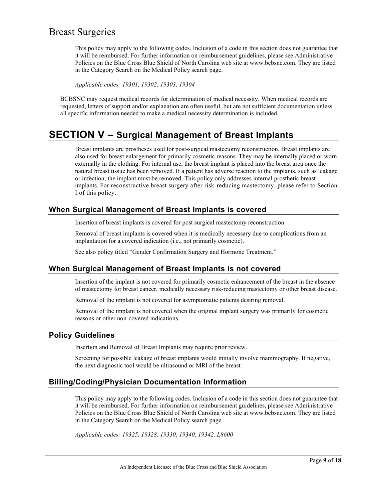This policy may apply to the following codes. Inclusion of a code in this section does not guarantee that it will be reimbursed. For further information on reimbursement guidelines, please see Administrative Policies on the Blue Cross Blue Shield of North Carolina web site at www.bcbsnc.com. They are listed in the Category Search on the Medical Policy search page.

*Applicable codes: 19301, 19302, 19303, 19304*

BCBSNC may request medical records for determination of medical necessity. When medical records are requested, letters of support and/or explanation are often useful, but are not sufficient documentation unless all specific information needed to make a medical necessity determination is included.

## **SECTION V – Surgical Management of Breast Implants**

Breast implants are prostheses used for post-surgical mastectomy reconstruction. Breast implants are also used for breast enlargement for primarily cosmetic reasons. They may be internally placed or worn externally in the clothing. For internal use, the breast implant is placed into the breast area once the natural breast tissue has been removed. If a patient has adverse reaction to the implants, such as leakage or infection, the implant must be removed. This policy only addresses internal prosthetic breast implants. For reconstructive breast surgery after risk-reducing mastectomy, please refer to Section I of this policy.

### **When Surgical Management of Breast Implants is covered**

Insertion of breast implants is covered for post surgical mastectomy reconstruction.

Removal of breast implants is covered when it is medically necessary due to complications from an implantation for a covered indication (i.e., not primarily cosmetic).

See also policy titled "Gender Confirmation Surgery and Hormone Treatment."

### **When Surgical Management of Breast Implants is not covered**

Insertion of the implant is not covered for primarily cosmetic enhancement of the breast in the absence of mastectomy for breast cancer, medically necessary risk-reducing mastectomy or other breast disease.

Removal of the implant is not covered for asymptomatic patients desiring removal.

Removal of the implant is not covered when the original implant surgery was primarily for cosmetic reasons or other non-covered indications.

### **Policy Guidelines**

Insertion and Removal of Breast Implants may require prior review.

Screening for possible leakage of breast implants would initially involve mammography. If negative, the next diagnostic tool would be ultrasound or MRI of the breast.

### **Billing/Coding/Physician Documentation Information**

This policy may apply to the following codes. Inclusion of a code in this section does not guarantee that it will be reimbursed. For further information on reimbursement guidelines, please see Administrative Policies on the Blue Cross Blue Shield of North Carolina web site at www.bcbsnc.com. They are listed in the Category Search on the Medical Policy search page.

*Applicable codes: 19325, 19328, 19330, 19340, 19342, L8600*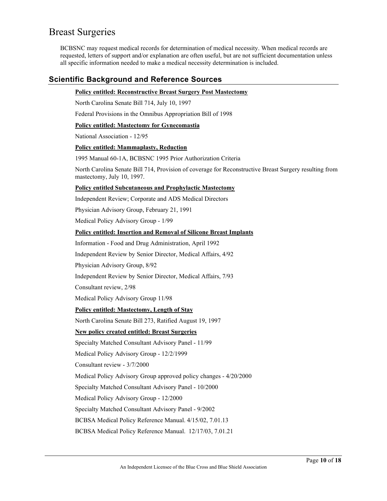BCBSNC may request medical records for determination of medical necessity. When medical records are requested, letters of support and/or explanation are often useful, but are not sufficient documentation unless all specific information needed to make a medical necessity determination is included.

### **Scientific Background and Reference Sources**

#### **Policy entitled: Reconstructive Breast Surgery Post Mastectomy**

North Carolina Senate Bill 714, July 10, 1997

Federal Provisions in the Omnibus Appropriation Bill of 1998

#### **Policy entitled: Mastectomy for Gynecomastia**

National Association - 12/95

#### **Policy entitled: Mammaplasty, Reduction**

1995 Manual 60-1A, BCBSNC 1995 Prior Authorization Criteria

North Carolina Senate Bill 714, Provision of coverage for Reconstructive Breast Surgery resulting from mastectomy, July 10, 1997.

#### **Policy entitled Subcutaneous and Prophylactic Mastectomy**

Independent Review; Corporate and ADS Medical Directors

Physician Advisory Group, February 21, 1991

Medical Policy Advisory Group - 1/99

#### **Policy entitled: Insertion and Removal of Silicone Breast Implants**

Information - Food and Drug Administration, April 1992

Independent Review by Senior Director, Medical Affairs, 4/92

Physician Advisory Group, 8/92

Independent Review by Senior Director, Medical Affairs, 7/93

Consultant review, 2/98

Medical Policy Advisory Group 11/98

#### **Policy entitled: Mastectomy, Length of Stay**

North Carolina Senate Bill 273, Ratified August 19, 1997

#### **New policy created entitled: Breast Surgeries**

Specialty Matched Consultant Advisory Panel - 11/99

Medical Policy Advisory Group - 12/2/1999

Consultant review - 3/7/2000

Medical Policy Advisory Group approved policy changes - 4/20/2000

Specialty Matched Consultant Advisory Panel - 10/2000

Medical Policy Advisory Group - 12/2000

Specialty Matched Consultant Advisory Panel - 9/2002

BCBSA Medical Policy Reference Manual. 4/15/02, 7.01.13

BCBSA Medical Policy Reference Manual. 12/17/03, 7.01.21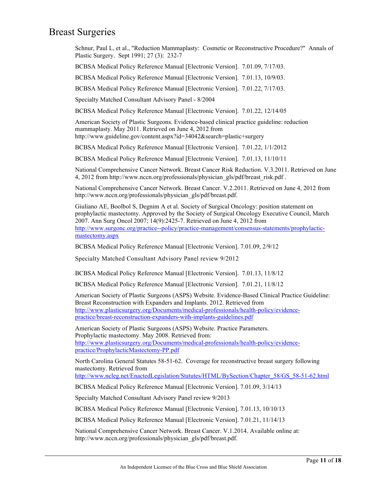Schnur, Paul L, et al., "Reduction Mammaplasty: Cosmetic or Reconstructive Procedure?" Annals of Plastic Surgery. Sept 1991; 27 (3): 232-7

BCBSA Medical Policy Reference Manual [Electronic Version]. 7.01.09, 7/17/03.

BCBSA Medical Policy Reference Manual [Electronic Version]. 7.01.13, 10/9/03.

BCBSA Medical Policy Reference Manual [Electronic Version]. 7.01.22, 7/17/03.

Specialty Matched Consultant Advisory Panel - 8/2004

BCBSA Medical Policy Reference Manual [Electronic Version]. 7.01.22, 12/14/05

American Society of Plastic Surgeons. Evidence-based clinical practice guideline: reduction mammaplasty. May 2011. Retrieved on June 4, 2012 from http://www.guideline.gov/content.aspx?id=34042&search=plastic+surgery

BCBSA Medical Policy Reference Manual [Electronic Version]. 7.01.22, 1/1/2012

BCBSA Medical Policy Reference Manual [Electronic Version]. 7.01.13, 11/10/11

National Comprehensive Cancer Network. Breast Cancer Risk Reduction. V.3.2011. Retrieved on June 4, 2012 from http://www.nccn.org/professionals/physician\_gls/pdf/breast\_risk.pdf .

National Comprehensive Cancer Network. Breast Cancer. V.2.2011. Retrieved on June 4, 2012 from http://www.nccn.org/professionals/physician\_gls/pdf/breast.pdf.

Giuliano AE, Boolbol S, Degnim A et al. Society of Surgical Oncology: position statement on prophylactic mastectomy. Approved by the Society of Surgical Oncology Executive Council, March 2007. Ann Surg Oncol 2007; 14(9):2425-7. Retrieved on June 4, 2012 from [http://www.surgonc.org/practice--policy/practice-management/consensus-statements/prophylactic](http://www.surgonc.org/practice--policy/practice-management/consensus-statements/prophylactic-mastectomy.aspx)[mastectomy.aspx](http://www.surgonc.org/practice--policy/practice-management/consensus-statements/prophylactic-mastectomy.aspx)

BCBSA Medical Policy Reference Manual [Electronic Version]. 7.01.09, 2/9/12

Specialty Matched Consultant Advisory Panel review 9/2012

BCBSA Medical Policy Reference Manual [Electronic Version]. 7.01.13, 11/8/12

BCBSA Medical Policy Reference Manual [Electronic Version]. 7.01.21, 11/8/12

American Society of Plastic Surgeons (ASPS) Website. Evidence-Based Clinical Practice Guideline: Breast Reconstruction with Expanders and Implants. 2012. Retrieved from [http://www.plasticsurgery.org/Documents/medical-professionals/health-policy/evidence](http://www.plasticsurgery.org/Documents/medical-professionals/health-policy/evidence-practice/breast-reconstruction-expanders-with-implants-guidelines.pdf)[practice/breast-reconstruction-expanders-with-implants-guidelines.pdf](http://www.plasticsurgery.org/Documents/medical-professionals/health-policy/evidence-practice/breast-reconstruction-expanders-with-implants-guidelines.pdf)

American Society of Plastic Surgeons (ASPS) Website. Practice Parameters. Prophylactic mastectomy. May 2008. Retrieved from: [http://www.plasticsurgery.org/Documents/medical-professionals/health-policy/evidence](http://www.plasticsurgery.org/Documents/medical-professionals/health-policy/evidence-practice/ProphylacticMastectomy-PP.pdf)[practice/ProphylacticMastectomy-PP.pdf](http://www.plasticsurgery.org/Documents/medical-professionals/health-policy/evidence-practice/ProphylacticMastectomy-PP.pdf)

North Carolina General Statutes 58-51-62. Coverage for reconstructive breast surgery following mastectomy. Retrieved from

[http://www.ncleg.net/EnactedLegislation/Statutes/HTML/BySection/Chapter\\_58/GS\\_58-51-62.html](http://www.ncleg.net/EnactedLegislation/Statutes/HTML/BySection/Chapter_58/GS_58-51-62.html)

BCBSA Medical Policy Reference Manual [Electronic Version]. 7.01.09, 3/14/13

Specialty Matched Consultant Advisory Panel review 9/2013

BCBSA Medical Policy Reference Manual [Electronic Version]. 7.01.13, 10/10/13

BCBSA Medical Policy Reference Manual [Electronic Version]. 7.01.21, 11/14/13

National Comprehensive Cancer Network. Breast Cancer. V.1.2014. Available online at: http://www.nccn.org/professionals/physician\_gls/pdf/breast.pdf.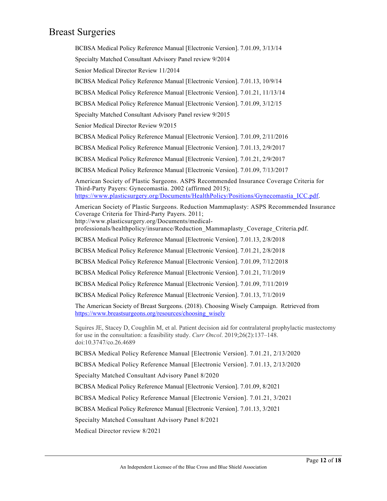BCBSA Medical Policy Reference Manual [Electronic Version]. 7.01.09, 3/13/14 Specialty Matched Consultant Advisory Panel review 9/2014 Senior Medical Director Review 11/2014 BCBSA Medical Policy Reference Manual [Electronic Version]. 7.01.13, 10/9/14 BCBSA Medical Policy Reference Manual [Electronic Version]. 7.01.21, 11/13/14 BCBSA Medical Policy Reference Manual [Electronic Version]. 7.01.09, 3/12/15 Specialty Matched Consultant Advisory Panel review 9/2015 Senior Medical Director Review 9/2015 BCBSA Medical Policy Reference Manual [Electronic Version]. 7.01.09, 2/11/2016 BCBSA Medical Policy Reference Manual [Electronic Version]. 7.01.13, 2/9/2017 BCBSA Medical Policy Reference Manual [Electronic Version]. 7.01.21, 2/9/2017 BCBSA Medical Policy Reference Manual [Electronic Version]. 7.01.09, 7/13/2017 American Society of Plastic Surgeons. ASPS Recommended Insurance Coverage Criteria for Third-Party Payers: Gynecomastia. 2002 (affirmed 2015); [https://www.plasticsurgery.org/Documents/HealthPolicy/Positions/Gynecomastia\\_ICC.pdf.](https://www.plasticsurgery.org/Documents/HealthPolicy/Positions/Gynecomastia_ICC.pdf) American Society of Plastic Surgeons. Reduction Mammaplasty: ASPS Recommended Insurance Coverage Criteria for Third-Party Payers. 2011; http://www.plasticsurgery.org/Documents/medicalprofessionals/healthpolicy/insurance/Reduction\_Mammaplasty\_Coverage\_Criteria.pdf. BCBSA Medical Policy Reference Manual [Electronic Version]. 7.01.13, 2/8/2018 BCBSA Medical Policy Reference Manual [Electronic Version]. 7.01.21, 2/8/2018 BCBSA Medical Policy Reference Manual [Electronic Version]. 7.01.09, 7/12/2018 BCBSA Medical Policy Reference Manual [Electronic Version]. 7.01.21, 7/1/2019 BCBSA Medical Policy Reference Manual [Electronic Version]. 7.01.09, 7/11/2019 BCBSA Medical Policy Reference Manual [Electronic Version]. 7.01.13, 7/1/2019 The American Society of Breast Surgeons. (2018). Choosing Wisely Campaign. Retrieved from [https://www.breastsurgeons.org/resources/choosing\\_wisely](https://www.breastsurgeons.org/resources/choosing_wisely) Squires JE, Stacey D, Coughlin M, et al. Patient decision aid for contralateral prophylactic mastectomy for use in the consultation: a feasibility study. *Curr Oncol*. 2019;26(2):137–148. doi:10.3747/co.26.4689 BCBSA Medical Policy Reference Manual [Electronic Version]. 7.01.21, 2/13/2020 BCBSA Medical Policy Reference Manual [Electronic Version]. 7.01.13, 2/13/2020 Specialty Matched Consultant Advisory Panel 8/2020 BCBSA Medical Policy Reference Manual [Electronic Version]. 7.01.09, 8/2021

BCBSA Medical Policy Reference Manual [Electronic Version]. 7.01.21, 3/2021

BCBSA Medical Policy Reference Manual [Electronic Version]. 7.01.13, 3/2021

Specialty Matched Consultant Advisory Panel 8/2021

Medical Director review 8/2021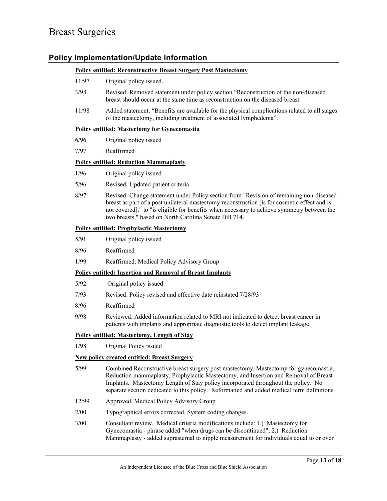### **Policy Implementation/Update Information**

#### **Policy entitled: Reconstructive Breast Surgery Post Mastectomy**

- 11/97 Original policy issued.
- 3/98 Revised: Removed statement under policy section "Reconstruction of the non-diseased breast should occur at the same time as reconstruction on the diseased breast.
- 11/98 Added statement, "Benefits are available for the physical complications related to all stages of the mastectomy, including treatment of associated lymphedema".

#### **Policy entitled: Mastectomy for Gynecomastia**

- 6/96 Original policy issued
- 7/97 Reaffirmed

#### **Policy entitled: Reduction Mammaplasty**

- 1/96 Original policy issued
- 5/96 Revised: Updated patient criteria
- 8/97 Revised: Change statement under Policy section from "Revision of remaining non-diseased breast as part of a post unilateral mastectomy reconstruction [is for cosmetic effect and is not covered]." to "is eligible for benefits when necessary to achieve symmetry between the two breasts," based on North Carolina Senate Bill 714.

#### **Policy entitled: Prophylactic Mastectomy**

- 5/91 Original policy issued
- 8/96 Reaffirmed
- 1/99 Reaffirmed: Medical Policy Advisory Group

#### **Policy entitled: Insertion and Removal of Breast Implants**

- 5/92 Original policy issued
- 7/93 Revised: Policy revised and effective date reinstated 7/28/93
- 8/96 Reaffirmed
- 9/98 Reviewed: Added information related to MRI not indicated to detect breast cancer in patients with implants and appropriate diagnostic tools to detect implant leakage.

#### **Policy entitled: Mastectomy, Length of Stay**

1/98 Original Policy issued

#### **New policy created entitled: Breast Surgery**

- 5/99 Combined Reconstructive breast surgery post mastectomy, Mastectomy for gynecomastia, Reduction mammaplasty, Prophylactic Mastectomy, and Insertion and Removal of Breast Implants. Mastectomy Length of Stay policy incorporated throughout the policy. No separate section dedicated to this policy. Reformatted and added medical term definitions.
- 12/99 Approved, Medical Policy Advisory Group
- 2/00 Typographical errors corrected. System coding changes.
- 3/00 Consultant review. Medical criteria modifications include: 1.) Mastectomy for Gynecomastia - phrase added "when drugs can be discontinued"; 2.) Reduction Mammaplasty - added suprasternal to nipple measurement for individuals equal to or over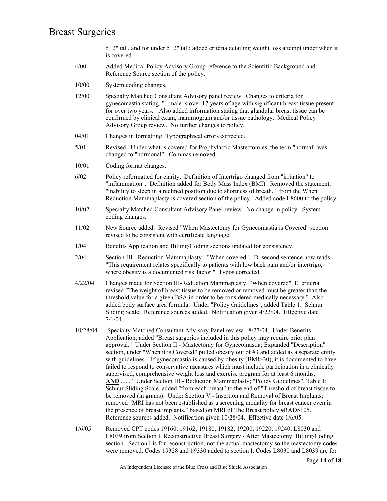5' 2" tall, and for under 5' 2" tall; added criteria detailing weight loss attempt under when it is covered.

- 4/00 Added Medical Policy Advisory Group reference to the Scientific Background and Reference Source section of the policy.
- 10/00 System coding changes.
- 12/00 Specialty Matched Consultant Advisory panel review. Changes to criteria for gynecomastia stating, "...male is over 17 years of age with significant breast tissue present for over two years." Also added information stating that glandular breast tissue can be confirmed by clinical exam, mammogram and/or tissue pathology. Medical Policy Advisory Group review. No further changes to policy.
- 04/01 Changes in formatting. Typographical errors corrected.
- 5/01 Revised. Under what is covered for Prophylactic Mastectomies, the term "normal" was changed to "hormonal". Commas removed.
- 10/01 Coding format changes.
- 6/02 Policy reformatted for clarity. Definition of Intertrigo changed from "irritation" to "inflammation". Definition added for Body Mass Index (BMI). Removed the statement, "inability to sleep in a reclined position due to shortness of breath." from the When Reduction Mammaplasty is covered section of the policy. Added code L8600 to the policy.
- 10/02 Specialty Matched Consultant Advisory Panel review. No change in policy. System coding changes.
- 11/02 New Source added. Revised "When Mastectomy for Gynecomastia is Covered" section revised to be consistent with certificate language.
- 1/04 Benefits Application and Billing/Coding sections updated for consistency.
- 2/04 Section III Reduction Mammaplasty "When covered" D. second sentence now reads "This requirement relates specifically to patients with low back pain and/or intertrigo, where obesity is a documented risk factor." Typos corrected.
- 4/22/04 Changes made for Section III-Reduction Mammaplasty: "When covered", E. criteria revised "The weight of breast tissue to be removed or removed must be greater than the threshold value for a given BSA in order to be considered medically necessary." Also added body surface area formula. Under "Policy Guidelines", added Table 1: Schnur Sliding Scale. Reference sources added. Notification given 4/22/04. Effective date 7/1/04.
- 10/28/04 Specialty Matched Consultant Advisory Panel review 8/27/04. Under Benefits Application; added "Breast surgeries included in this policy may require prior plan approval." Under Section II - Mastectomy for Gynecomastia; Expanded "Description" section, under "When it is Covered" pulled obesity out of #3 and added as a separate entity with guidelines -"If gynecomastia is caused by obesity (BMI>30), it is documented to have failed to respond to conservative measures which must include participation in a clinically supervised, comprehensive weight loss and exercise program for at least 6 months, **AND**......." Under Section III - Reduction Mammaplasty; "Policy Guidelines", Table I: Schnur Sliding Scale, added "from each breast" to the end of "Threshold of breast tissue to be removed (in grams). Under Section V - Insertion and Removal of Breast Implants; removed "MRI has not been established as a screening modality for breast cancer even in the presence of breast implants." based on MRI of The Breast policy #RAD5105. Reference sources added. Notification given 10/28/04. Effective date 1/6/05.
- 1/6/05 Removed CPT codes 19160, 19162, 19180, 19182, 19200, 19220, 19240, L8030 and L8039 from Section I, Reconstructive Breast Surgery - After Mastectomy, Billing/Coding section. Section I is for reconstruction, not the actual mastectomy so the mastectomy codes were removed. Codes 19328 and 19330 added to section I. Codes L8030 and L8039 are for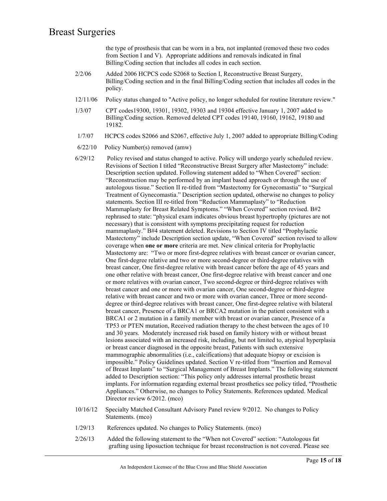the type of prosthesis that can be worn in a bra, not implanted (removed these two codes from Section I and V). Appropriate additions and removals indicated in final Billing/Coding section that includes all codes in each section.

- 2/2/06 Added 2006 HCPCS code S2068 to Section I, Reconstructive Breast Surgery, Billing/Coding section and in the final Billing/Coding section that includes all codes in the policy.
- 12/11/06 Policy status changed to "Active policy, no longer scheduled for routine literature review."
- 1/3/07 CPT codes19300, 19301, 19302, 19303 and 19304 effective January 1, 2007 added to Billing/Coding section. Removed deleted CPT codes 19140, 19160, 19162, 19180 and 19182.
- 1/7/07 HCPCS codes S2066 and S2067, effective July 1, 2007 added to appropriate Billing/Coding
- 6/22/10 Policy Number(s) removed (amw)
- 6/29/12 Policy revised and status changed to active. Policy will undergo yearly scheduled review. Revisions of Section I titled "Reconstructive Breast Surgery after Mastectomy" include: Description section updated. Following statement added to "When Covered" section: "Reconstruction may be performed by an implant based approach or through the use of autologous tissue." Section II re-titled from "Mastectomy for Gynecomastia" to "Surgical Treatment of Gynecomastia." Description section updated, otherwise no changes to policy statements. Section III re-titled from "Reduction Mammaplasty" to "Reduction Mammaplasty for Breast Related Symptoms." "When Covered" section revised. B#2 rephrased to state: "physical exam indicates obvious breast hypertrophy (pictures are not necessary) that is consistent with symptoms precipitating request for reduction mammaplasty." B#4 statement deleted. Revisions to Section IV titled "Prophylactic Mastectomy" include Description section update, "When Covered" section revised to allow coverage when **one or more** criteria are met. New clinical criteria for Prophylactic Mastectomy are: "Two or more first-degree relatives with breast cancer or ovarian cancer, One first-degree relative and two or more second-degree or third-degree relatives with breast cancer, One first-degree relative with breast cancer before the age of 45 years and one other relative with breast cancer, One first-degree relative with breast cancer and one or more relatives with ovarian cancer, Two second-degree or third-degree relatives with breast cancer and one or more with ovarian cancer, One second-degree or third-degree relative with breast cancer and two or more with ovarian cancer, Three or more seconddegree or third-degree relatives with breast cancer, One first-degree relative with bilateral breast cancer, Presence of a BRCA1 or BRCA2 mutation in the patient consistent with a BRCA1 or 2 mutation in a family member with breast or ovarian cancer, Presence of a TP53 or PTEN mutation, Received radiation therapy to the chest between the ages of 10 and 30 years. Moderately increased risk based on family history with or without breast lesions associated with an increased risk, including, but not limited to, atypical hyperplasia or breast cancer diagnosed in the opposite breast, Patients with such extensive mammographic abnormalities (i.e., calcifications) that adequate biopsy or excision is impossible." Policy Guidelines updated. Section V re-titled from "Insertion and Removal of Breast Implants" to "Surgical Management of Breast Implants." The following statement added to Description section: "This policy only addresses internal prosthetic breast implants. For information regarding external breast prosthetics see policy titled, "Prosthetic Appliances." Otherwise, no changes to Policy Statements. References updated. Medical Director review 6/2012. (mco)
- 10/16/12 Specialty Matched Consultant Advisory Panel review 9/2012. No changes to Policy Statements. (mco)
- 1/29/13 References updated. No changes to Policy Statements. (mco)
- 2/26/13 Added the following statement to the "When not Covered" section: "Autologous fat grafting using liposuction technique for breast reconstruction is not covered. Please see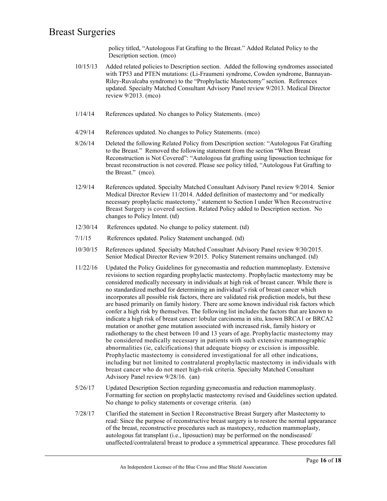policy titled, "Autologous Fat Grafting to the Breast." Added Related Policy to the Description section. (mco)

- 10/15/13 Added related policies to Description section. Added the following syndromes associated with TP53 and PTEN mutations: (Li-Fraumeni syndrome, Cowden syndrome, Bannayan-Riley-Ruvalcaba syndrome) to the "Prophylactic Mastectomy" section. References updated. Specialty Matched Consultant Advisory Panel review 9/2013. Medical Director review 9/2013. (mco)
- 1/14/14 References updated. No changes to Policy Statements. (mco)
- 4/29/14 References updated. No changes to Policy Statements. (mco)
- 8/26/14 Deleted the following Related Policy from Description section: "Autologous Fat Grafting to the Breast." Removed the following statement from the section "When Breast Reconstruction is Not Covered": "Autologous fat grafting using liposuction technique for breast reconstruction is not covered. Please see policy titled, "Autologous Fat Grafting to the Breast." (mco).
- 12/9/14 References updated. Specialty Matched Consultant Advisory Panel review 9/2014. Senior Medical Director Review 11/2014. Added definition of mastectomy and "or medically necessary prophylactic mastectomy," statement to Section I under When Reconstructive Breast Surgery is covered section. Related Policy added to Description section. No changes to Policy Intent. (td)
- 12/30/14 References updated. No change to policy statement. (td)
- 7/1/15 References updated. Policy Statement unchanged. (td)
- 10/30/15 References updated. Specialty Matched Consultant Advisory Panel review 9/30/2015. Senior Medical Director Review 9/2015. Policy Statement remains unchanged. (td)
- 11/22/16 Updated the Policy Guidelines for gynecomastia and reduction mammoplasty. Extensive revisions to section regarding prophylactic mastectomy. Prophylactic mastectomy may be considered medically necessary in individuals at high risk of breast cancer. While there is no standardized method for determining an individual's risk of breast cancer which incorporates all possible risk factors, there are validated risk prediction models, but these are based primarily on family history. There are some known individual risk factors which confer a high risk by themselves. The following list includes the factors that are known to indicate a high risk of breast cancer: lobular carcinoma in situ, known BRCA1 or BRCA2 mutation or another gene mutation associated with increased risk, family history or radiotherapy to the chest between 10 and 13 years of age. Prophylactic mastectomy may be considered medically necessary in patients with such extensive mammographic abnormalities (ie, calcifications) that adequate biopsy or excision is impossible. Prophylactic mastectomy is considered investigational for all other indications, including but not limited to contralateral prophylactic mastectomy in individuals with breast cancer who do not meet high-risk criteria. Specialty Matched Consultant Advisory Panel review 9/28/16. (an)
- 5/26/17 Updated Description Section regarding gynecomastia and reduction mammoplasty. Formatting for section on prophylactic mastectomy revised and Guidelines section updated. No change to policy statements or coverage criteria. (an)
- 7/28/17 Clarified the statement in Section I Reconstructive Breast Surgery after Mastectomy to read: Since the purpose of reconstructive breast surgery is to restore the normal appearance of the breast, reconstructive procedures such as mastopexy, reduction mammoplasty, autologous fat transplant (i.e., liposuction) may be performed on the nondiseased/ unaffected/contralateral breast to produce a symmetrical appearance. These procedures fall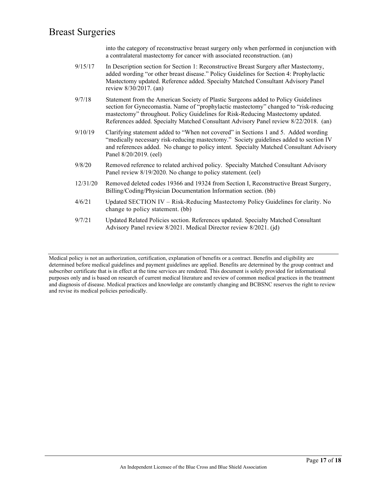into the category of reconstructive breast surgery only when performed in conjunction with a contralateral mastectomy for cancer with associated reconstruction. (an)

- 9/15/17 In Description section for Section 1: Reconstructive Breast Surgery after Mastectomy, added wording "or other breast disease." Policy Guidelines for Section 4: Prophylactic Mastectomy updated. Reference added. Specialty Matched Consultant Advisory Panel review 8/30/2017. (an)
- 9/7/18 Statement from the American Society of Plastic Surgeons added to Policy Guidelines section for Gynecomastia. Name of "prophylactic mastectomy" changed to "risk-reducing mastectomy" throughout. Policy Guidelines for Risk-Reducing Mastectomy updated. References added. Specialty Matched Consultant Advisory Panel review 8/22/2018. (an)
- 9/10/19 Clarifying statement added to "When not covered" in Sections 1 and 5. Added wording "medically necessary risk-reducing mastectomy." Society guidelines added to section IV and references added. No change to policy intent. Specialty Matched Consultant Advisory Panel 8/20/2019. (eel)
- 9/8/20 Removed reference to related archived policy. Specialty Matched Consultant Advisory Panel review 8/19/2020. No change to policy statement. (eel)
- 12/31/20 Removed deleted codes 19366 and 19324 from Section I, Reconstructive Breast Surgery, Billing/Coding/Physician Documentation Information section. (bb)
- 4/6/21 Updated SECTION IV Risk-Reducing Mastectomy Policy Guidelines for clarity. No change to policy statement. (bb)
- 9/7/21 Updated Related Policies section. References updated. Specialty Matched Consultant Advisory Panel review 8/2021. Medical Director review 8/2021. (jd)

Medical policy is not an authorization, certification, explanation of benefits or a contract. Benefits and eligibility are determined before medical guidelines and payment guidelines are applied. Benefits are determined by the group contract and subscriber certificate that is in effect at the time services are rendered. This document is solely provided for informational purposes only and is based on research of current medical literature and review of common medical practices in the treatment and diagnosis of disease. Medical practices and knowledge are constantly changing and BCBSNC reserves the right to review and revise its medical policies periodically.